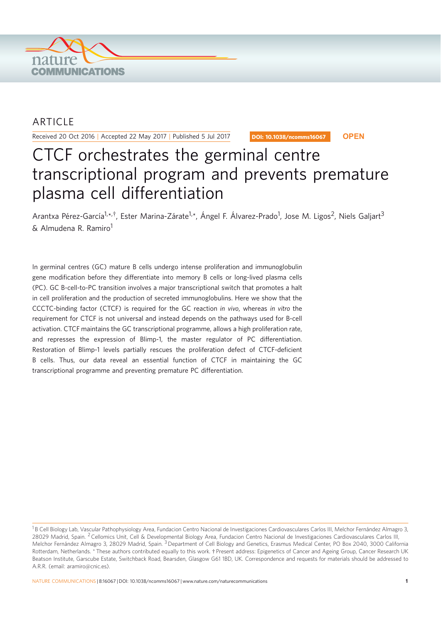

## ARTICLE

Received 20 Oct 2016 | Accepted 22 May 2017 | Published 5 Jul 2017

DOI: 10.1038/ncomms16067 **OPEN**

# CTCF orchestrates the germinal centre transcriptional program and prevents premature plasma cell differentiation

Arantxa Pérez-García<sup>1,\*,†</sup>, Ester Marina-Zárate<sup>1,\*</sup>, Ángel F. Álvarez-Prado<sup>1</sup>, Jose M. Ligos<sup>2</sup>, Niels Galjart<sup>3</sup> & Almudena R. Ramiro<sup>1</sup>

In germinal centres (GC) mature B cells undergo intense proliferation and immunoglobulin gene modification before they differentiate into memory B cells or long-lived plasma cells (PC). GC B-cell-to-PC transition involves a major transcriptional switch that promotes a halt in cell proliferation and the production of secreted immunoglobulins. Here we show that the CCCTC-binding factor (CTCF) is required for the GC reaction in vivo, whereas in vitro the requirement for CTCF is not universal and instead depends on the pathways used for B-cell activation. CTCF maintains the GC transcriptional programme, allows a high proliferation rate, and represses the expression of Blimp-1, the master regulator of PC differentiation. Restoration of Blimp-1 levels partially rescues the proliferation defect of CTCF-deficient B cells. Thus, our data reveal an essential function of CTCF in maintaining the GC transcriptional programme and preventing premature PC differentiation.

<sup>&</sup>lt;sup>1</sup>B Cell Biology Lab, Vascular Pathophysiology Area, Fundacion Centro Nacional de Investigaciones Cardiovasculares Carlos III, Melchor Fernández Almagro 3, 28029 Madrid, Spain. <sup>2</sup> Cellomics Unit, Cell & Developmental Biology Area, Fundacion Centro Nacional de Investigaciones Cardiovasculares Carlos III, Melchor Fernández Almagro 3, 28029 Madrid, Spain.<sup>3</sup> Department of Cell Biology and Genetics, Erasmus Medical Center, PO Box 2040, 3000 California Rotterdam, Netherlands. \* These authors contributed equally to this work. † Present address: Epigenetics of Cancer and Ageing Group, Cancer Research UK Beatson Institute, Garscube Estate, Switchback Road, Bearsden, Glasgow G61 1BD, UK. Correspondence and requests for materials should be addressed to A.R.R. (email: aramiro@cnic.es).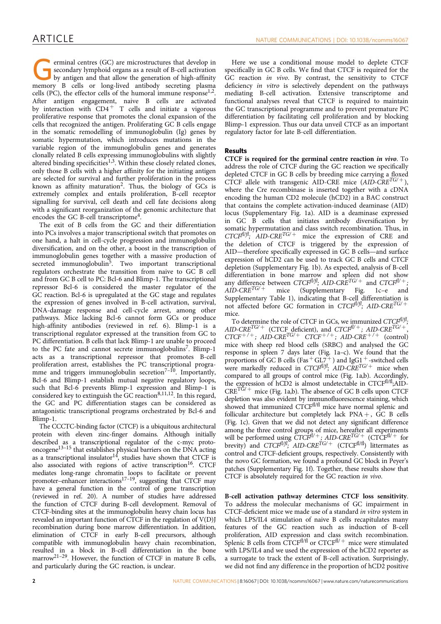Ferminal centres (GC) are microstructures that develop in<br>
by antigen and that allow the generation of high-affinity<br>
memory B cells or long lived antibody secretian plasma secondary lymphoid organs as a result of B-cell activation memory B cells or long-lived antibody secreting plasma cells (PC), the effector cells of the humoral immune  $respose<sup>1,2</sup>$ . After antigen engagement, naive B cells are activated by interaction with  $CD4^+$  T cells and initiate a vigorous proliferative response that promotes the clonal expansion of the cells that recognized the antigen. Proliferating GC B cells engage in the somatic remodelling of immunoglobulin (Ig) genes by somatic hypermutation, which introduces mutations in the variable region of the immunoglobulin genes and generates clonally related B cells expressing immunoglobulins with slightly altered binding specificities<sup>1,3</sup>. Within these closely related clones, only those B cells with a higher affinity for the initiating antigen are selected for survival and further proliferation in the process known as affinity maturation<sup>2</sup>. Thus, the biology of  $GCs$  is extremely complex and entails proliferation, B-cell receptor signalling for survival, cell death and cell fate decisions along with a significant reorganization of the genomic architecture that encodes the GC B-cell transcriptome<sup>4</sup>.

The exit of B cells from the GC and their differentiation into PCs involves a major transcriptional switch that promotes on one hand, a halt in cell-cycle progression and immunoglobulin diversification, and on the other, a boost in the transcription of immunoglobulin genes together with a massive production of secreted immunoglobulin<sup>5</sup>. Two important transcriptional regulators orchestrate the transition from naive to GC B cell and from GC B cell to PC: Bcl-6 and Blimp-1. The transcriptional repressor Bcl-6 is considered the master regulator of the GC reaction. Bcl-6 is upregulated at the GC stage and regulates the expression of genes involved in B-cell activation, survival, DNA-damage response and cell-cycle arrest, among other pathways. Mice lacking Bcl-6 cannot form GCs or produce high-affinity antibodies (reviewed in ref. 6). Blimp-1 is a transcriptional regulator expressed at the transition from GC to PC differentiation. B cells that lack Blimp-1 are unable to proceed to the PC fate and cannot secrete immunoglobulins<sup>7</sup>. Blimp-1 acts as a transcriptional repressor that promotes B-cell proliferation arrest, establishes the PC transcriptional programme and triggers immunoglobulin secretion<sup>7–10</sup>. Importantly, Bcl-6 and Blimp-1 establish mutual negative regulatory loops, such that Bcl-6 prevents Blimp-1 expression and Blimp-1 is considered key to extinguish the GC reaction  $8,11,12$ . In this regard, the GC and PC differentiation stages can be considered as antagonistic transcriptional programs orchestrated by Bcl-6 and Blimp-1.

The CCCTC-binding factor (CTCF) is a ubiquitous architectural protein with eleven zinc-finger domains. Although initially described as a transcriptional regulator of the c-myc protooncogene<sup>13-15</sup> that establishes physical barriers on the DNA acting as a transcriptional insulator<sup>14</sup>, studies have shown that CTCF is also associated with regions of active transcription<sup>16</sup>. CTCF mediates long-range chromatin loops to facilitate or prevent promoter-enhancer interactions<sup>17-19</sup>, suggesting that CTCF may have a general function in the control of gene transcription (reviewed in ref. 20). A number of studies have addressed the function of CTCF during B-cell development. Removal of CTCF-binding sites at the immunoglobulin heavy chain locus has revealed an important function of CTCF in the regulation of V(D)J recombination during bone marrow differentiation. In addition, elimination of CTCF in early B-cell precursors, although compatible with immunoglobulin heavy chain recombination, resulted in a block in B-cell differentiation in the bone marrow<sup>21-29</sup>. However, the function of CTCF in mature B cells, and particularly during the GC reaction, is unclear.

Here we use a conditional mouse model to deplete CTCF specifically in GC B cells. We find that CTCF is required for the GC reaction in vivo. By contrast, the sensitivity to CTCF deficiency in vitro is selectively dependent on the pathways mediating B-cell activation. Extensive transcriptome and functional analyses reveal that CTCF is required to maintain the GC transcriptional programme and to prevent premature PC differentiation by facilitating cell proliferation and by blocking Blimp-1 expression. Thus our data unveil CTCF as an important regulatory factor for late B-cell differentiation.

## Results

CTCF is required for the germinal centre reaction in vivo. To address the role of CTCF during the GC reaction we specifically depleted CTCF in GC B cells by breeding mice carrying a floxed CTCF allele with transgenic AID-CRE mice  $(AID-CRE^{TG/+})$ , where the Cre recombinase is inserted together with a cDNA encoding the human CD2 molecule (hCD2) in a BAC construct that contains the complete activation-induced deaminase (AID) locus (Supplementary Fig. 1a). AID is a deaminase expressed in GC B cells that initiates antibody diversification by somatic hypermutation and class switch recombination. Thus, in  $CTCF<sup>f1/f</sup>$ ; AID-CRE<sup>TG/+</sup> mice the expression of CRE and the deletion of CTCF is triggered by the expression of AID—therefore specifically expressed in GC B cells—and surface expression of hCD2 can be used to track GC B cells and CTCF depletion (Supplementary Fig. 1b). As expected, analysis of B-cell differentiation in bone marrow and spleen did not show any difference between  $CTCF^{f l/f}$ ; AID-CRE<sup>TG/+</sup> and  $CTCF^{f l'+}$ ;  $A\dot{D}$ -CRE<sup>TG/+</sup> mice (Supplementary Fig. 1c–e and Supplementary Table 1), indicating that B-cell differentiation is not affected before GC formation in  $CTCF^{f l/f}$ ; AID-CRE<sup>TG/-</sup> mice.

To determine the role of CTCF in GCs, we immunized  $CTCF^{f l/f}$ ; AID-CRE<sup>TG/+</sup> (CTCF deficient), and CTCF<sup>fl/+</sup>; AID-CRE<sup>TG/+</sup>,  $CTCF^{+/+}$ ; AID-CRE<sup>TG/+</sup> CTCF<sup>+/+</sup>; AID-CRE<sup>+/+</sup> (control) mice with sheep red blood cells (SRBC) and analysed the GC response in spleen 7 days later (Fig. 1a–c). We found that the proportions of GC B cells (Fas  $^+$  GL7 $^+$  ) and IgG1  $^+$  -switched cells were markedly reduced in  $CTCF^{fl/f}$ ; AID-CRE<sup>TG/+</sup> mice when compared to all groups of control mice (Fig. 1a,b). Accordingly, the expression of hCD2 is almost undetectable in CTCFfl/fl;AID- $CRE<sup>TG/+</sup> mice (Fig. 1a,b). The absence of GC B cells upon CTCF$ depletion was also evident by immunofluorescence staining, which showed that immunized  $\widehat{CTCF}^{fl/fl}$  mice have normal splenic and follicular architecture but completely lack  $PNA +$ , GC B cells (Fig. 1c). Given that we did not detect any significant difference among the three control groups of mice, hereafter all experiments will be performed using  $CTCF^{fl/+}$ ; AID-CRE<sup>TG/+</sup> (CTCF<sup>fl/+</sup> for brevity) and  $CTCF^{f l/f}$ ; AID-CRE<sup>TG/+</sup> (CTCF<sup>fl/fl</sup>) littermates as control and CTCF-deficient groups, respectively. Consistently with the novo GC formation, we found a profound GC block in Peyer's patches (Supplementary Fig. 1f). Together, these results show that CTCF is absolutely required for the GC reaction in vivo.

B-cell activation pathway determines CTCF loss sensitivity. To address the molecular mechanisms of GC impairment in CTCF-deficient mice we made use of a standard in vitro system in which LPS/IL4 stimulation of naive B cells recapitulates many features of the GC reaction such as induction of B-cell proliferation, AID expression and class switch recombination. Splenic B cells from  $\dot{CTCF}^{\text{fl/fl}}$  or  $CTCF^{\text{fl/}+}$  mice were stimulated with LPS/IL4 and we used the expression of the hCD2 reporter as a surrogate to track the extent of B-cell activation. Surprisingly, we did not find any difference in the proportion of hCD2 positive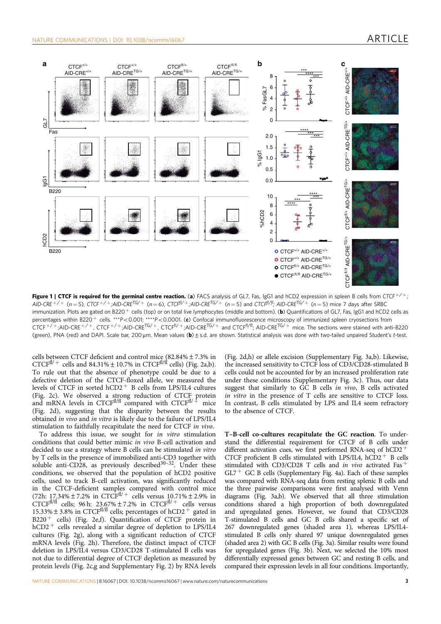

Figure 1 | CTCF is required for the germinal centre reaction. (a) FACS analysis of GL7, Fas, IgG1 and hCD2 expression in spleen B cells from CTCF<sup>+/+</sup>; AID-CRE<sup>+/+</sup> (n = 5), CTCF<sup>+/+</sup>;AID-CRE<sup>TG/+</sup> (n = 6), CTCF<sup>fl/+</sup>;AID-CRE<sup>TG/+</sup> (n = 5) and CTCF<sup>fl/fl</sup>; AID-CRE<sup>TG/+</sup> (n = 5) mice 7 days after SRBC immunization. Plots are gated on B220<sup>+</sup> cells (top) or on total live lymphocytes (middle and bottom). (b) Quantifications of GL7, Fas, IgG1 and hCD2 cells as percentages within B220<sup>+</sup> cells. \*\*\*P<0.001; \*\*\*\*P<0.0001. (c) Confocal immunofluorescence microscopy of immunized spleen cryosections from  $CTCF^{+/+}$ ;AID-CRE<sup>+/+</sup>, CTCF<sup>+/+</sup>;AID-CRE<sup>TG/+</sup>, CTCF<sup>fl/+</sup>;AID-CRE<sup>TG/+</sup> and CTCF<sup>fl/fl</sup>; AID-CRE<sup>TG/+</sup> mice. The sections were stained with anti-B220 (green), PNA (red) and DAPI. Scale bar, 200 µm. Mean values (b)  $\pm$  s.d. are shown. Statistical analysis was done with two-tailed unpaired Student's t-test.

cells between CTCF deficient and control mice (82.84%±7.3% in CTCF<sup>fl/+</sup> cells and 84.31%  $\pm$  10.7% in CTCF<sup>fl/fl</sup> cells) (Fig. 2a,b). To rule out that the absence of phenotype could be due to a defective deletion of the CTCF-floxed allele, we measured the levels of CTCF in sorted  $hCD2$ <sup>+</sup> B cells from LPS/IL4 cultures (Fig. 2c). We observed a strong reduction of CTCF protein and mRNA levels in CTCF<sup>fl/fl</sup> compared with CTCF<sup>fl/ $+$ </sup> mice (Fig. 2d), suggesting that the disparity between the results obtained in vivo and in vitro is likely due to the failure of LPS/IL4 stimulation to faithfully recapitulate the need for CTCF in vivo.

To address this issue, we sought for in vitro stimulation conditions that could better mimic in vivo B-cell activation and decided to use a strategy where B cells can be stimulated in vitro by T cells in the presence of immobilized anti-CD3 together with soluble anti-CD28, as previously described $30-32$ . Under these conditions, we observed that the population of hCD2 positive cells, used to track B-cell activation, was significantly reduced in the CTCF-deficient samples compared with control mice (72h: 17.34% $\pm$  7.2% in CTCF<sup>fl/+</sup> cells versus 10.71% $\pm$  2.9% in CTCF<sup>fl/fl</sup> cells; 96 h: 23.67%  $\pm$  7.2% in CTCF<sup>fl/+</sup> cells versus 15.33%  $\pm$  3.8% in CTCF<sup>fl/fl</sup> cells; percentages of hCD2<sup>+</sup> gated in  $B220$   $^+$  cells) (Fig. 2e,f). Quantification of CTCF protein in hCD2  $^+$  cells revealed a similar degree of depletion to LPS/IL4  $\,$ cultures (Fig. 2g), along with a significant reduction of CTCF mRNA levels (Fig. 2h). Therefore, the distinct impact of CTCF deletion in LPS/IL4 versus CD3/CD28 T-stimulated B cells was not due to differential degree of CTCF depletion as measured by protein levels (Fig. 2c,g and Supplementary Fig. 2) by RNA levels

(Fig. 2d,h) or allele excision (Supplementary Fig. 3a,b). Likewise, the increased sensitivity to CTCF loss of CD3/CD28-stimulated B cells could not be accounted for by an increased proliferation rate under these conditions (Supplementary Fig. 3c). Thus, our data suggest that similarly to GC B cells in vivo, B cells activated in vitro in the presence of T cells are sensitive to CTCF loss. In contrast, B cells stimulated by LPS and IL4 seem refractory to the absence of CTCF.

T–B-cell co-cultures recapitulate the GC reaction. To understand the differential requirement for CTCF of B cells under different activation cues, we first performed RNA-seq of hCD2<sup>+</sup> CTCF proficient B cells stimulated with LPS/IL4,  $hCD2$ <sup>+</sup> B cells stimulated with CD3/CD28 T cells and in vivo activated Fas<sup>+</sup>  $GL7^+$  GC B cells (Supplementary Fig. 4a). Each of these samples was compared with RNA-seq data from resting splenic B cells and the three pairwise comparisons were first analysed with Venn diagrams (Fig. 3a,b). We observed that all three stimulation conditions shared a high proportion of both downregulated and upregulated genes. However, we found that CD3/CD28 T-stimulated B cells and GC B cells shared a specific set of 267 downregulated genes (shaded area 1), whereas LPS/IL4 stimulated B cells only shared 97 unique downregulated genes (shaded area 2) with GC B cells (Fig. 3a). Similar results were found for upregulated genes (Fig. 3b). Next, we selected the 10% most differentially expressed genes between GC and resting B cells, and compared their expression levels in all four conditions. Importantly,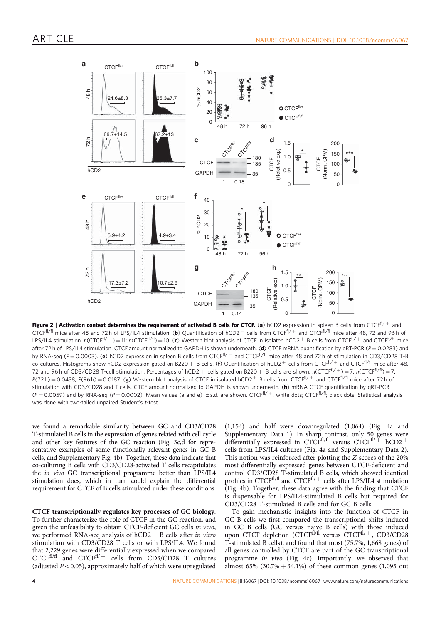

Figure 2 | Activation context determines the requirement of activated B cells for CTCF. (a) hCD2 expression in spleen B cells from CTCF $f^{f/\pm}$  and CTCF<sup>fl/fl</sup> mice after 48 and 72h of LPS/IL4 stimulation. (b) Quantification of hCD2<sup>+</sup> cells from CTCF<sup>fl/+</sup> and CTCF<sup>fl/fl</sup> mice after 48, 72 and 96 h of LPS/IL4 stimulation. n(CTCF<sup>fl/+</sup>)=11; n(CTCF<sup>fl/fl</sup>)=10. (c) Western blot analysis of CTCF in isolated hCD2<sup>+</sup> B cells from CTCF<sup>fl/+</sup> and CTCF<sup>fl/fl</sup> mice after 72 h of LPS/IL4 stimulation. CTCF amount normalized to GAPDH is shown underneath. (d) CTCF mRNA quantification by qRT-PCR ( $P = 0.0283$ ) and by RNA-seq (P = 0.0003). (e) hCD2 expression in spleen B cells from CTCF<sup>fl/+</sup> and CTCF<sup>fl/fl</sup> mice after 48 and 72 h of stimulation in CD3/CD28 T-B co-cultures. Histograms show hCD2 expression gated on B220 + B cells. (f) Quantification of hCD2<sup>+</sup> cells from CTCF<sup>fl/+</sup> and CTCF<sup>fl/fl</sup> mice after 48, 72 and 96 h of CD3/CD28 T-cell stimulation. Percentages of hCD2 + cells gated on B220 + B cells are shown. n(CTCFfl/+) = 7; n(CTCFfl/fl) = 7.  $P(72 h) = 0.0438$ ;  $P(96 h) = 0.0187$ . (g) Western blot analysis of CTCF in isolated hCD2<sup>+</sup> B cells from CTCF<sup>fl/+</sup> and CTCF<sup>fl/fl</sup> mice after 72 h of stimulation with CD3/CD28 and T cells. CTCF amount normalized to GAPDH is shown underneath. (h) mRNA CTCF quantification by qRT-PCR (P = 0.0059) and by RNA-seq (P = 0.0002). Mean values (a and e) ± s.d. are shown. CTCF<sup>fl/+</sup>, white dots; CTCF<sup>fl/fl</sup>; black dots. Statistical analysis was done with two-tailed unpaired Student's t-test.

we found a remarkable similarity between GC and CD3/CD28 T-stimulated B cells in the expression of genes related with cell cycle and other key features of the GC reaction (Fig. 3c,d for representative examples of some functionally relevant genes in GC B cells, and Supplementary Fig. 4b). Together, these data indicate that co-culturing B cells with CD3/CD28-activated T cells recapitulates the *in vivo* GC transcriptional programme better than LPS/IL4 stimulation does, which in turn could explain the differential requirement for CTCF of B cells stimulated under these conditions.

CTCF transcriptionally regulates key processes of GC biology. To further characterize the role of CTCF in the GC reaction, and given the unfeasibility to obtain CTCF-deficient GC cells in vivo, we performed RNA-seq analysis of  $hCD2$ <sup>+</sup> B cells after in vitro stimulation with CD3/CD28 T cells or with LPS/IL4. We found that 2,229 genes were differentially expressed when we compared  $CTCF<sup>f1/f1</sup>$  and  $CTCF<sup>f1/f</sup>$  cells from CD3/CD28 T cultures (adjusted  $P < 0.05$ ), approximately half of which were upregulated

(1,154) and half were downregulated (1,064) (Fig. 4a and Supplementary Data 1). In sharp contrast, only 50 genes were differentially expressed in CTCFfl/fl versus CTCFfl/ $+$  hCD2 + cells from LPS/IL4 cultures (Fig. 4a and Supplementary Data 2). This notion was reinforced after plotting the Z-scores of the 20% most differentially expressed genes between CTCF-deficient and control CD3/CD28 T-stimulated B cells, which showed identical profiles in CTCF $f^{f1/f}$  and CTCF $f^{f1/f}$  cells after LPS/IL4 stimulation (Fig. 4b). Together, these data agree with the finding that CTCF is dispensable for LPS/IL4-stimulated B cells but required for CD3/CD28 T-stimulated B cells and for GC B cells.

To gain mechanistic insights into the function of CTCF in GC B cells we first compared the transcriptional shifts induced in GC B cells (GC versus naive B cells) with those induced upon CTCF depletion (CTCF<sup>fl/fl</sup> versus CTCF<sup>fl/+</sup>, CD3/CD28 T-stimulated B cells), and found that most (75.7%, 1,668 genes) of all genes controlled by CTCF are part of the GC transcriptional programme in vivo (Fig. 4c). Importantly, we observed that almost 65%  $(30.7% + 34.1%)$  of these common genes  $(1,095)$  out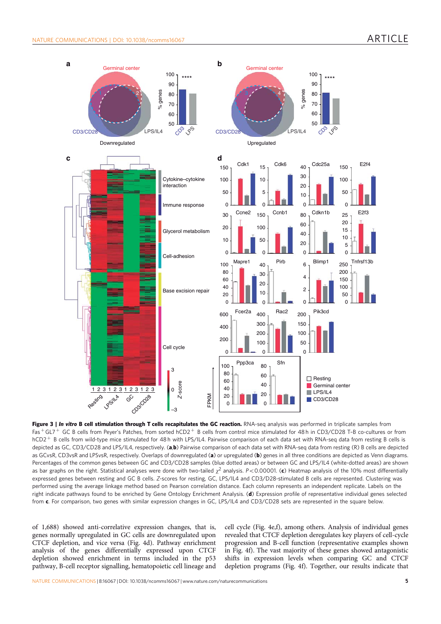

Figure 3 | In vitro B cell stimulation through T cells recapitulates the GC reaction. RNA-seq analysis was performed in triplicate samples from  $Fas + GL7 + GC$  B cells from Peyer's Patches, from sorted hCD2  $+$  B cells from control mice stimulated for 48 h in CD3/CD28 T-B co-cultures or from hCD2<sup>+</sup> B cells from wild-type mice stimulated for 48 h with LPS/IL4. Pairwise comparison of each data set with RNA-seq data from resting B cells is depicted as GC, CD3/CD28 and LPS/IL4, respectively. (a,b) Pairwise comparison of each data set with RNA-seq data from resting (R) B cells are depicted as GCvsR, CD3vsR and LPSvsR, respectively. Overlaps of downregulated (a) or upregulated (b) genes in all three conditions are depicted as Venn diagrams. Percentages of the common genes between GC and CD3/CD28 samples (blue dotted areas) or between GC and LPS/IL4 (white-dotted areas) are shown as bar graphs on the right. Statistical analyses were done with two-tailed  $\chi^2$  analysis. P<0.00001. (c) Heatmap analysis of the 10% most differentially expressed genes between resting and GC B cells. Z-scores for resting, GC, LPS/IL4 and CD3/D28-stimulated B cells are represented. Clustering was performed using the average linkage method based on Pearson correlation distance. Each column represents an independent replicate. Labels on the right indicate pathways found to be enriched by Gene Ontology Enrichment Analysis. (d) Expression profile of representative individual genes selected from c. For comparison, two genes with similar expression changes in GC, LPS/IL4 and CD3/CD28 sets are represented in the square below.

of 1,688) showed anti-correlative expression changes, that is, genes normally upregulated in GC cells are downregulated upon CTCF depletion, and vice versa (Fig. 4d). Pathway enrichment analysis of the genes differentially expressed upon CTCF depletion showed enrichment in terms included in the p53 pathway, B-cell receptor signalling, hematopoietic cell lineage and

cell cycle (Fig. 4e,f), among others. Analysis of individual genes revealed that CTCF depletion deregulates key players of cell-cycle progression and B-cell function (representative examples shown in Fig. 4f). The vast majority of these genes showed antagonistic shifts in expression levels when comparing GC and CTCF depletion programs (Fig. 4f). Together, our results indicate that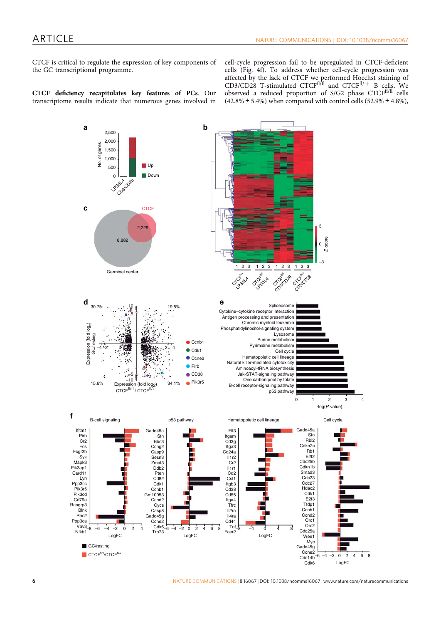CTCF is critical to regulate the expression of key components of the GC transcriptional programme.

cell-cycle progression fail to be upregulated in CTCF-deficient cells (Fig. 4f). To address whether cell-cycle progression was affected by the lack of CTCF we performed Hoechst staining of CD3/CD28 T-stimulated CTCFfl/fl and CTCFfl/+ B cells. We observed a reduced proportion of S/G2 phase CTCF<sup>fl/fl</sup> cells  $(42.8\% \pm 5.4\%)$  when compared with control cells  $(52.9\% \pm 4.8\%)$ ,

CTCF deficiency recapitulates key features of PCs. Our transcriptome results indicate that numerous genes involved in



6 NATURE COMMUNICATIONS | 8:16067 | DOI: 10.1038/ncomms16067 | www.nature.com/naturecommunications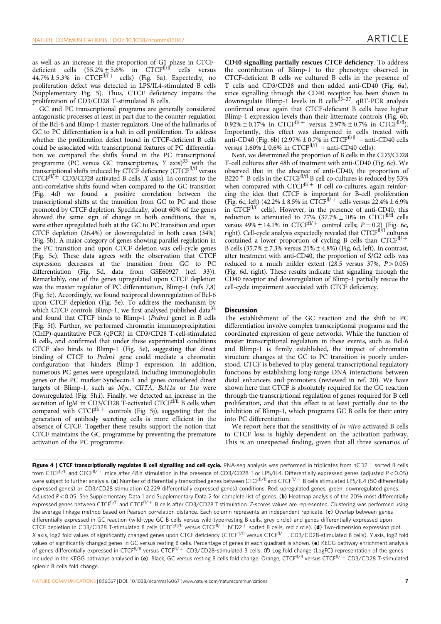as well as an increase in the proportion of G1 phase in CTCFdeficient cells  $(55.2\% \pm 5.6\%)$  in CTCF<sup>fl/fl</sup> cells versus  $44.7\% \pm 5.3\%$  in CTCF<sup>fl/f+</sup> cells) (Fig. 5a). Expectedly, no proliferation defect was detected in LPS/IL4-stimulated B cells (Supplementary Fig. 5). Thus, CTCF deficiency impairs the proliferation of CD3/CD28 T-stimulated B cells.

GC and PC transcriptional programs are generally considered antagonistic processes at least in part due to the counter-regulation of the Bcl-6 and Blimp-1 master regulators. One of the hallmarks of GC to PC differentiation is a halt in cell proliferation. To address whether the proliferation defect found in CTCF-deficient B cells could be associated with transcriptional features of PC differentiation we compared the shifts found in the PC transcriptional programme (PC versus GC transcriptomes,  $Y$  axis)<sup>33</sup> with the transcriptional shifts induced by CTCF deficiency (CTCF<sup>fl/fl</sup> versus  $CTCF<sup>f1/f</sup>$  CD3/CD28-activated B cells, X axis). In contrast to the anti-correlative shifts found when compared to the GC transition (Fig. 4d) we found a positive correlation between the transcriptional shifts at the transition from GC to PC and those promoted by CTCF depletion. Specifically, about 60% of the genes showed the same sign of change in both conditions, that is, were either upregulated both at the GC to PC transition and upon CTCF depletion (26.4%) or downregulated in both cases (34%) (Fig. 5b). A major category of genes showing parallel regulation in the PC transition and upon CTCF deletion was cell-cycle genes (Fig. 5c). These data agrees with the observation that CTCF expression decreases at the transition from GC to PC differentiation (Fig. 5d, data from GSE60927 (ref. 33)). Remarkably, one of the genes upregulated upon CTCF depletion was the master regulator of PC differentiation, Blimp-1 (refs 7,8) (Fig. 5e). Accordingly, we found reciprocal downregulation of Bcl-6 upon CTCF depletion (Fig. 5e). To address the mechanism by which CTCF controls Blimp-1, we first analysed published data<sup>34</sup> and found that CTCF binds to Blimp-1 (Prdm1 gene) in B cells (Fig. 5f). Further, we performed chromatin immunoprecipitation (ChIP)-quantitative PCR (qPCR) in CD3/CD28 T-cell-stimulated B cells, and confirmed that under these experimental conditions CTCF also binds to Blimp-1 (Fig. 5e), suggesting that direct binding of CTCF to Prdm1 gene could mediate a chromatin configuration that hinders Blimp-1 expression. In addition, numerous PC genes were upregulated, including immunoglobulin genes or the PC marker Syndecan-1 and genes considered direct targets of Blimp-1, such as Myc, CIITA, Bcl11a or Lta were downregulated (Fig. 5h,i). Finally, we detected an increase in the secretion of IgM in CD3/CD28 T-activated CTCF $f<sup>f1/f</sup>$  B cells when compared with  $CTCF^{fl/+}$  controls (Fig. 5j), suggesting that the generation of antibody secreting cells is more efficient in the absence of CTCF. Together these results support the notion that CTCF maintains the GC programme by preventing the premature activation of the PC programme.

CD40 signalling partially rescues CTCF deficiency. To address the contribution of Blimp-1 to the phenotype observed in CTCF-deficient B cells we cultured B cells in the presence of T cells and CD3/CD28 and then added anti-CD40 (Fig. 6a), since signalling through the CD40 receptor has been shown to downregulate Blimp-1 levels in B cells<sup>35-37</sup>. qRT-PCR analysis confirmed once again that CTCF-deficient B cells have higher Blimp-1 expression levels than their littermate controls (Fig. 6b, 0.92%  $\pm$  0.17% in CTCF<sup>fl/+</sup> versus 2.97%  $\pm$  0.7% in CTCF<sup>fl/fl</sup>). Importantly, this effect was dampened in cells treated with anti-CD40 (Fig. 6b)  $(2.97\% \pm 0.7\% \text{ in CTCF}^{fl/f} - \text{anti-CD40 cells})$ versus  $1.60\% \pm 0.6\%$  in CTCF<sup>fl/fl</sup> + anti-CD40 cells).

Next, we determined the proportion of B cells in the CD3/CD28 T-cell cultures after 48h of treatment with anti-CD40 (Fig. 6c). We observed that in the absence of anti-CD40, the proportion of B220<sup>+</sup> B cells in the CTCF<sup>fl/fl</sup> B cell co-cultures is reduced by 53% when compared with  $CTCF^{fl/+}$  B cell co-cultures, again reinforcing the idea that CTCF is important for B-cell proliferation (Fig. 6c, left)  $(42.2\% \pm 8.5\% \text{ in } CTCF^{fl/+} \text{ cells versus } 22.4\% \pm 6.9\%$ in CTCF<sup>fl/fl</sup> cells). However, in the presence of anti-CD40, this reduction is attenuated to 77% (37.7%  $\pm$  10% in CTCF<sup>fl/fl</sup> cells versus  $49\% \pm 14.1\%$  in CTCF<sup>fl/+</sup> control cells;  $P = 0.2$ ) (Fig. 6c, right). Cell-cycle analysis expectedly revealed that  $CTCF<sup>f1/f1</sup>$  cultures contained a lower proportion of cycling B cells than  $CTCF^{fl/+}$ B cells (35.7% $\pm$  7.3% versus 21% $\pm$ 4.8%) (Fig. 6d, left). In contrast, after treatment with anti-CD40, the proportion of S/G2 cells was reduced to a much milder extent (28.5 versus 37%,  $P > 0.05$ ) (Fig. 6d, right). These results indicate that signalling through the CD40 receptor and downregulation of Blimp-1 partially rescue the cell-cycle impairment associated with CTCF deficiency.

#### **Discussion**

The establishment of the GC reaction and the shift to PC differentiation involve complex transcriptional programs and the coordinated expression of gene networks. While the function of master transcriptional regulators in these events, such as Bcl-6 and Blimp-1 is firmly established, the impact of chromatin structure changes at the GC to PC transition is poorly understood. CTCF is believed to play general transcriptional regulatory functions by establishing long-range DNA interactions between distal enhancers and promoters (reviewed in ref. 20). We have shown here that CTCF is absolutely required for the GC reaction through the transcriptional regulation of genes required for B cell proliferation, and that this effect is at least partially due to the inhibition of Blimp-1, which programs GC B cells for their entry into PC differentiation.

We report here that the sensitivity of *in vitro* activated B cells to CTCF loss is highly dependent on the activation pathway. This is an unexpected finding, given that all three scenarios of

Figure 4 | CTCF transcriptionally regulates B cell signalling and cell cycle. RNA-seq analysis was performed in triplicates from  $hCD2^+$  sorted B cells from CTCF<sup>fl/fl</sup> and CTCF<sup>fl/+</sup> mice after 48 h stimulation in the presence of CD3/CD28 T or LPS/IL4. Differentially expressed genes (adjusted P<0.05) were subject to further analysis. (a) Number of differentially transcribed genes between CTCF<sup>fl/fl</sup> and CTCF<sup>fl/+</sup> B cells stimulated LPS/IL4 (50 differentially expressed genes) or CD3/CD28 stimulation (2,229 differentially expressed genes) conditions. Red: upregulated genes; green: downregulated genes. Adjusted  $P < 0.05$ . See Supplementary Data 1 and Supplementary Data 2 for complete list of genes. (b) Heatmap analysis of the 20% most differentially expressed genes between CTCF<sup>fl/fl</sup> and CTCF<sup>fl/+</sup> B cells after CD3/CD28 T stimulation. Z-scores values are represented. Clustering was performed using the average linkage method based on Pearson correlation distance. Each column represents an independent replicate. (c) Overlap between genes differentially expressed in GC reaction (wild-type GC B cells versus wild-type-resting B cells, grey circle) and genes differentially expressed upon CTCF depletion in CD3/CD28 T-stimulated B cells (CTCF<sup>fl/fl</sup> versus CTCF<sup>fl/+</sup> hCD2<sup>+</sup> sorted B cells, red circle). (d) Two-dimension expression plot. X axis, log2 fold values of significantly changed genes upon CTCF deficiency (CTCF<sup>fl/fl</sup> versus CTCF<sup>fl/f</sup>, CD3/CD28-stimulated B cells). Y axis, log2 fold values of significantly changed genes in GC versus resting B cells. Percentage of genes in each quadrant is shown. (e) KEGG pathway enrichment analysis of genes differentially expressed in CTCF<sup>fl/fl</sup> versus CTCF<sup>fl/+</sup> CD3/CD28-stimulated B cells. (f) Log fold change (LogFC) representation of the genes included in the KEGG pathways analysed in (e). Black, GC versus resting B cells fold change. Orange, CTCF<sup>fl/fl</sup> versus CTCF<sup>fl/+</sup> CD3/CD28 T-stimulated splenic B cells fold change.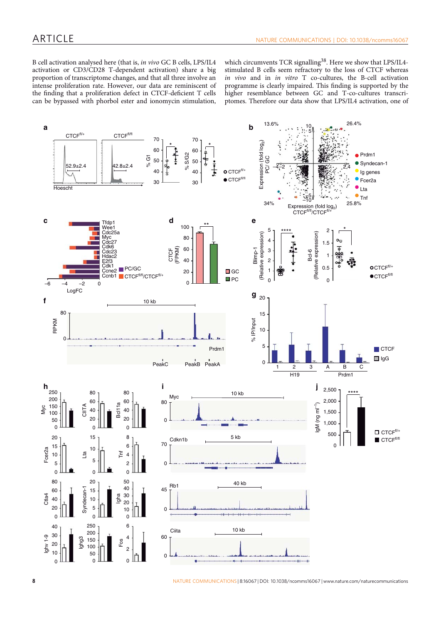B cell activation analysed here (that is, in vivo GC B cells, LPS/IL4 activation or CD3/CD28 T-dependent activation) share a big proportion of transcriptome changes, and that all three involve an intense proliferation rate. However, our data are reminiscent of the finding that a proliferation defect in CTCF-deficient T cells can be bypassed with phorbol ester and ionomycin stimulation,

which circumvents TCR signalling<sup>38</sup>. Here we show that LPS/IL4stimulated B cells seem refractory to the loss of CTCF whereas in vivo and in in vitro T co-cultures, the B-cell activation programme is clearly impaired. This finding is supported by the higher resemblance between GC and T-co-cultures transcriptomes. Therefore our data show that LPS/IL4 activation, one of

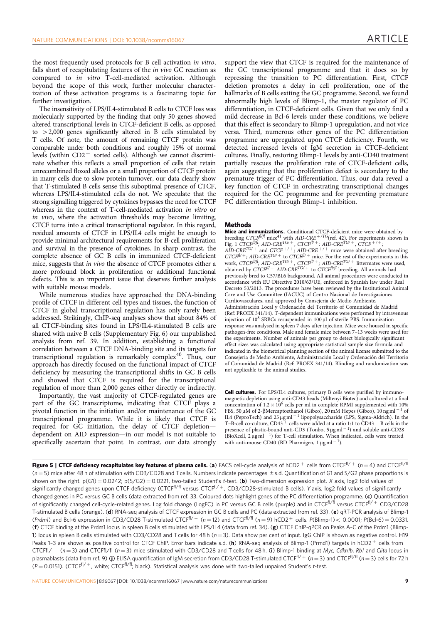the most frequently used protocols for B cell activation in vitro, falls short of recapitulating features of the in vivo GC reaction as compared to in vitro T-cell-mediated activation. Although beyond the scope of this work, further molecular characterization of these activation programs is a fascinating topic for further investigation.

The insensitivity of LPS/IL4-stimulated B cells to CTCF loss was molecularly supported by the finding that only 50 genes showed altered transcriptional levels in CTCF-deficient B cells, as opposed to  $>2,000$  genes significantly altered in B cells stimulated by T cells. Of note, the amount of remaining CTCF protein was comparable under both conditions and roughly 15% of normal levels (within  $CD2^+$  sorted cells). Although we cannot discriminate whether this reflects a small proportion of cells that retain unrecombined floxed alleles or a small proportion of CTCF protein in many cells due to slow protein turnover, our data clearly show that T-stimulated B cells sense this suboptimal presence of CTCF, whereas LPS/IL4-stimulated cells do not. We speculate that the strong signalling triggered by cytokines bypasses the need for CTCF whereas in the context of T-cell-mediated activation in vitro or in vivo, where the activation thresholds may become limiting, CTCF turns into a critical transcriptional regulator. In this regard, residual amounts of CTCF in LPS/IL4 cells might be enough to provide minimal architectural requirements for B-cell proliferation and survival in the presence of cytokines. In sharp contrast, the complete absence of GC B cells in immunized CTCF-deficient mice, suggests that in vivo the absence of CTCF promotes either a more profound block in proliferation or additional functional defects. This is an important issue that deserves further analysis with suitable mouse models.

While numerous studies have approached the DNA-binding profile of CTCF in different cell types and tissues, the function of CTCF in global transcriptional regulation has only rarely been addressed. Strikingly, ChIP-seq analyses show that about 84% of all CTCF-binding sites found in LPS/IL4-stimulated B cells are shared with naive B cells (Supplementary Fig. 6) our unpublished analysis from ref. 39. In addition, establishing a functional correlation between a CTCF DNA-binding site and its targets for transcriptional regulation is remarkably complex<sup>40</sup>. Thus, our approach has directly focused on the functional impact of CTCF deficiency by measuring the transcriptional shifts in GC B cells and showed that CTCF is required for the transcriptional regulation of more than 2,000 genes either directly or indirectly.

Importantly, the vast majority of CTCF-regulated genes are part of the GC transcriptome, indicating that CTCF plays a pivotal function in the initiation and/or maintenance of the GC transcriptional programme. While it is likely that CTCF is required for GC initiation, the delay of CTCF depletion dependent on AID expression—in our model is not suitable to specifically ascertain that point. In contrast, our data strongly

support the view that CTCF is required for the maintenance of the GC transcriptional programme and that it does so by repressing the transition to PC differentiation. First, CTCF deletion promotes a delay in cell proliferation, one of the hallmarks of B cells exiting the GC programme. Second, we found abnormally high levels of Blimp-1, the master regulator of PC differentiation, in CTCF-deficient cells. Given that we only find a mild decrease in Bcl-6 levels under these conditions, we believe that this effect is secondary to Blimp-1 upregulation, and not vice versa. Third, numerous other genes of the PC differentiation programme are upregulated upon CTCF deficiency. Fourth, we detected increased levels of IgM secretion in CTCF-deficient cultures. Finally, restoring Blimp-1 levels by anti-CD40 treatment partially rescues the proliferation rate of CTCF-deficient cells, again suggesting that the proliferation defect is secondary to the premature trigger of PC differentiation. Thus, our data reveal a key function of CTCF in orchestrating transcriptional changes required for the GC programme and for preventing premature PC differentiation through Blimp-1 inhibition.

## **Methods**

**Mice and immunizations.** Conditional CTCF-deficient mice were obtained by breeding CTCF $f^{1/f}$  mice<sup>41</sup> with AID-CRE<sup>+/TG</sup>(ref. 42). For experiments shown in Fig. 1 CTCFfl/fl; AID-CRE<sup>TG/+</sup>, CTCFfl/+; AID-CRE<sup>TG/+</sup>, CTCF<sup>+/+</sup>;  $AID-CRE^{TG/+}$  and  $CTCF^{+/+}$ ;  $AID-CRE^{+/+}$  mice were obtained after breeding  $CTCF^{fU+}$ ; AID-CRE<sup>TG/+</sup> to CTCF<sup>fU+</sup> mice. For the rest of the experiments in this work, CTCF<sup>fl/fl</sup>; AID-CRE<sup>TG/+</sup>, CTCF<sup>fl/+</sup>; AID-CRE<sup>TG/+</sup> littermates were used, obtained by  $CTCF^{fU+}$  AID-CRE<sup>TG/+</sup> to  $CTCF^{fU/f}$  breeding. All animals had previously bred to C57/BL6 background. All animal procedures were conducted in accordance with EU Directive 2010/63/UE, enforced in Spanish law under Real Decreto 53/2013. The procedures have been reviewed by the Institutional Animal Care and Use Committee (IACUC) of Centro Nacional de Investigaciones Cardiovasculares, and approved by Consejeria de Medio Ambiente, Administración Local y Ordenación del Territorio of Comunidad de Madrid (Ref: PROEX 341/14). T-dependent immunizations were performed by intravenous injection of 10<sup>8</sup> SRBCs resuspended in 100 µl of sterile PBS. Immunization response was analysed in spleen 7 days after injection. Mice were housed in specific pathogen-free conditions. Male and female mice between 7–13 weeks were used for the experiments. Number of animals per group to detect biologically significant effect sizes was calculated using appropriate statistical sample size formula and indicated in the biometrical planning section of the animal license submitted to the Consejeria de Medio Ambiente, Administración Local y Ordenación del Territorio of Comunidad de Madrid (Ref: PROEX 341/14). Blinding and randomization was not applicable to the animal studies.

Cell cultures. For LPS/IL4 cultures, primary B cells were purified by immunomagnetic depletion using anti-CD43 beads (Miltenyi Biotec) and cultured at a final concentration of  $1.2 \times 10^6$  cells per ml in complete RPMI supplemented with 10% FBS, 50  $\mu$ M of 2- $\beta$ Mercaptoethanol (Gibco), 20 mM Hepes (Gibco), 10 ng ml<sup>-1</sup> of IL4 (PeproTech) and  $25 \mu g$  ml<sup>-1</sup> lipopolysaccharide (LPS, Sigma-Aldrich). In the T-B-cell co-culture, CD43<sup>+</sup> cells were added at a ratio 1:1 to CD43<sup>-</sup> B cells in the presence of plastic-bound anti-CD3 (Tonbo,  $5 \mu g$  ml<sup>-1</sup>) and soluble anti-CD28 (BioXcell,  $2 \mu g$  ml<sup>-1</sup>) for T-cell stimulation. When indicated, cells were treated with anti-mouse CD40 (BD Pharmigen,  $1 \mu g$  ml<sup>-1</sup>).

Figure 5 | CTCF deficiency recapitulates key features of plasma cells. (a) FACS cell-cycle analysis of hCD2<sup>+</sup> cells from CTCF<sup>fl/+</sup> (n = 4) and CTCF<sup>fl/fl</sup>  $(n = 5)$  mice after 48 h of stimulation with CD3/CD28 and Tcells. Numbers indicate percentages  $\pm$  s.d. Quantification of G1 and S/G2 phase proportions is shown on the right.  $p(G1) = 0.0242$ ;  $p(S/G2) = 0.0221$ , two-tailed Student's t-test. (b) Two-dimension expression plot. X axis, log2 fold values of significantly changed genes upon CTCF deficiency (CTCF<sup>fl/fl</sup> versus CTCF<sup>fl/+</sup>, CD3/CD28-stimulated B cells). Y axis, log2 fold values of significantly changed genes in PC versus GC B cells (data extracted from ref. 33. Coloured dots highlight genes of the PC differentiation programme. (c) Quantification of significantly changed cell-cycle-related genes. Log fold change (LogFC) in PC versus GC B cells (purple) and in CTCF<sup>fl/fl</sup> versus CTCF<sup>fl/+</sup> CD3/CD28 T-stimulated B cells (orange). (d) RNA-seq analysis of CTCF expression in GC B cells and PC (data extracted from ref. 33). (e) qRT-PCR analysis of Blimp-1 (Prdm1) and Bcl-6 expression in CD3/CD28 T-stimulated CTCF<sup>fl/+</sup> (n=12) and CTCF<sup>fl/fl</sup> (n=9) hCD2<sup>+</sup> cells. P(Blimp-1)< 0.0001; P(Bcl-6) = 0.0331. (f) CTCF binding at the Prdm1 locus in spleen B cells stimulated with LPS/IL4 (data from ref. 34). (g) CTCF ChIP-qPCR on Peaks A–C of the Prdm1 (Blimp-1) locus in spleen B cells stimulated with CD3/CD28 and T cells for 48 h ( $n = 3$ ). Data show per cent of input. IgG ChIP is shown as negative control. H19 Peaks 1-3 are shown as positive control for CTCF ChIP. Error bars indicate s.d. (h) RNA-seq analysis of Blimp-1 (Prmd1) targets in hCD2+ cells from CTCFfl/ +  $(n=3)$  and CTCFfl/fl  $(n=3)$  mice stimulated with CD3/CD28 and T cells for 48 h. (i) Blimp-1 binding at Myc, Cdkn1b, Rb1 and Ciita locus in plasmablasts (data from ref. 9) (j) ELISA quantification of IgM secretion from CD3/CD28 T-stimulated CTCF<sup>fl/+</sup> ( $n=3$ ) and CTCF<sup>fl/fl</sup> ( $n=3$ ) cells for 72 h  $(P = 0.0151)$ . (CTCF<sup>fl/+</sup>, white; CTCF<sup>fl/fl</sup>; black). Statistical analysis was done with two-tailed unpaired Student's t-test.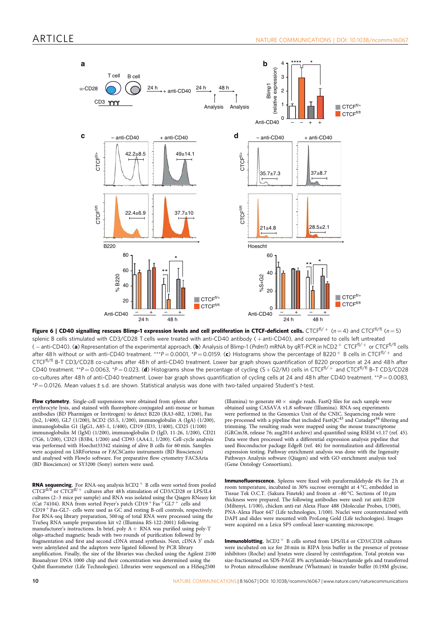

Figure 6 | CD40 signalling rescues Blimp-1 expression levels and cell proliferation in CTCF-deficient cells. CTCF<sup>fl/+</sup> (n = 4) and CTCF<sup>fl/fl</sup> (n = 5) splenic B cells stimulated with CD3/CD28 T cells were treated with anti-CD40 antibody (+anti-CD40), and compared to cells left untreated ( – anti-CD40). (a) Representation of the experimental approach. (b) Analysis of Blimp-1 (Prdm1) mRNA by qRT-PCR in hCD2+ CTCF<sup>fl/+</sup> or CTCF<sup>fl/fl</sup> cells after 48 h without or with anti-CD40 treatment. \*\*\*P=0.0001, \*P=0.0159. (c) Histograms show the percentage of B220  $^+$  B cells in CTCFfl/ + and CTCFfl/fl B-T CD3/CD28 co-cultures after 48 h of anti-CD40 treatment. Lower bar graph shows quantification of B220 proportion at 24 and 48 h after CD40 treatment. \*\*P = 0.0063, \*P = 0.023. (d) Histograms show the percentage of cycling (S + G2/M) cells in CTCF<sup>fl/+</sup> and CTCF<sup>fl/fl</sup> B-T CD3/CD28 co-cultures after 48 h of anti-CD40 treatment. Lower bar graph shows quantification of cycling cells at 24 and 48 h after CD40 treatment. \*\*P = 0.0083,  $*P = 0.0126$ . Mean values  $\pm$  s.d. are shown. Statistical analysis was done with two-tailed unpaired Student's t-test.

Flow cytometry. Single-cell suspensions were obtained from spleen after erythrocyte lysis, and stained with fluorophore-conjugated anti-mouse or human antibodies (BD Pharmigen or Invitrogen) to detect B220 (RA3-6B2, 1/200), Fas (Jo2, 1/400), GL7 (1/200), hCD2 (S5.5, 1/200), immunoglobulin A (IgA) (1/200), immunoglobulin G1 (IgG1, A85-1, 1/400), CD19 (ID3, 1/400), CD25 (1/100) immunoglobulin M (IgM) (1/200), immunoglobulin D (IgD, 11-26, 1/200), CD21 (7G6, 1/200), CD23 (B3B4, 1/200) and CD93 (AA4.1, 1/200). Cell-cycle analysis was performed with Hoechst33342 staining of alive B cells for 60 min. Samples were acquired on LSRFortessa or FACSCanto instruments (BD Biosciences) and analysed with FlowJo software. For preparative flow cytometry FACSAria (BD Biosciences) or SY3200 (Sony) sorters were used.

**RNA sequencing.** For RNA-seq analysis hCD2<sup>+</sup> B cells were sorted from pooled CTCF<sup>fl/fl</sup> or CTCF<sup>fl/+</sup> cultures after 48 h stimulation of CD3/CD28 or LPS/IL4 cultures (2–3 mice per sample) and RNA was isolated using the Qiagen RNeasy kit (Cat 74104). RNA from sorted Peyer's patch CD19  $^+$  Fas  $^+$  GL7  $^+$  cells and  $CD19$   $^+$  Fas-GL7- cells were used as GC and resting B-cell controls, respectively. For RNA-seq library preparation, 500 ng of total RNA were processed using the TruSeq RNA sample preparation kit v2 (Illumina RS-122-2001) following manufacturer's instructions. In brief, poly A + RNA was purified using poly-T<br>oligo-attached magnetic beads with two rounds of purification followed by fragmentation and first and second cDNA strand synthesis. Next, cDNA 3' ends were adenylated and the adaptors were ligated followed by PCR library amplification. Finally, the size of the libraries was checked using the Agilent 2100 Bioanalyzer DNA 1000 chip and their concentration was determined using the Qubit fluorometer (Life Technologies). Libraries were sequenced on a HiSeq2500

(Illumina) to generate  $60 \times$  single reads. FastQ files for each sample were obtained using CASAVA v1.8 software (Illumina). RNA-seq experiments were performed in the Genomics Unit of the CNIC. Sequencing reads were<br>pre-processed with a pipeline that included FastQC<sup>43</sup> and Cutadapt<sup>44</sup> filtering and  $\frac{1}{1}$  trimming. The resulting reads were mapped using the mouse transcriptome (GRCm38, release 76; aug2014 archive) and quantified using RSEM v1.17 (ref. 45). Data were then processed with a differential expression analysis pipeline that used Bioconductor package EdgeR (ref. 46) for normalization and differential expression testing. Pathway enrichment analysis was done with the Ingenuity Pathways Analysis software (Qiagen) and with GO enrichment analysis tool (Gene Ontology Consortium).

Immunofluorescence. Spleens were fixed with paraformaldehyde 4% for 2 h at room temperature, incubated in 30% sucrose overnight at 4 °C, embedded in Tissue Tek O.C.T. (Sakura Finetek) and frozen at  $-80^{\circ}$ C. Sections of 10  $\mu$ m thickness were prepared. The following antibodies were used: rat anti-B220 (Miltenyi, 1/100), chicken anti-rat Alexa Fluor 488 (Molecular Probes, 1/500), PNA-Alexa Fluor 647 (Life technologies, 1/100). Nuclei were counterstained with DAPI and slides were mounted with ProLong Gold (Life technologies). Images were acquired on a Leica SP5 confocal laser-scanning microscope.

**Immunoblotting.** hCD2<sup>+</sup> B cells sorted from LPS/IL4 or CD3/CD28 cultures were incubated on ice for 20 min in RIPA lysis buffer in the presence of protease inhibitors (Roche) and lysates were cleared by centrifugation. Total protein was size-fractionated on SDS-PAGE 8% acrylamide–bisacrylamide gels and transferred to Protan nitrocellulose membrane (Whatman) in transfer buffer (0.19M glycine,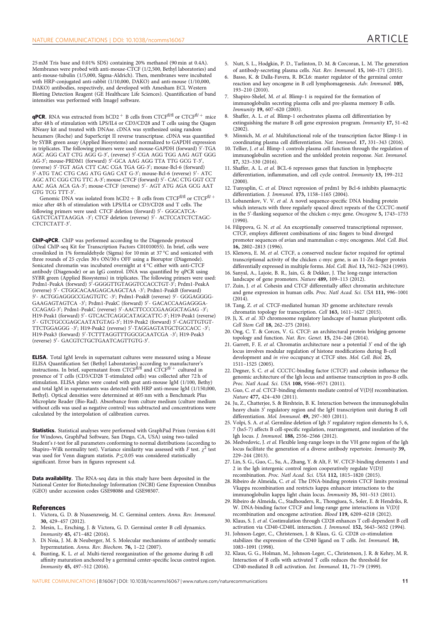25 mM Tris base and 0.01% SDS) containing 20% methanol (90 min at 0.4A). Membranes were probed with anti-mouse-CTCF (1/2,500, Bethyl laboratories) and anti-mouse-tubulin (1/5,000, Sigma-Aldrich). Then, membranes were incubated with HRP-conjugated anti-rabbit (1/10,000, DAKO) and anti-mouse (1/10,000, DAKO) antibodies, respectively, and developed with Amesham ECL Western Blotting Detection Reagent (GE Healthcare Life Sciences). Quantification of band intensities was performed with ImageJ software.

**qPCR.** RNA was extracted from hCD2  $+$  B cells from CTCF<sup>fl/fl</sup> or CTCF<sup>fl/+</sup> mice after 48 h of stimulation with LPS/IL4 or CD3/CD28 and T cells using the Qiagen RNeasy kit and treated with DNAse. cDNA was synthesized using random hexamers (Roche) and SuperScript II reverse transcriptase. cDNA was quantified by SYBR green assay (Applied Biosystems) and normalized to GAPDH expression in triplicates. The following primers were used: mouse-GAPDH (forward) 5′-TGA AGC AGG CAT CTG AGG G-3', (reverse) 5'-CGA AGG TGG AAG AGT GGG AG-3'; mouse-PRDM1 (forward) 5'-GCA AAG AGG TTA TTG GCG T-3', (reverse) 5'-TGT AGA CTT CAC CGA TGA GG-3'; mouse-Bcl-6 (forward) 5'-ATG TAC CTG CAG ATG GAG CAT G-3'; mouse-Bcl-6 (reverse) 5'- ATC AGC ATC CGG CTG TTC A-3'; mouse-CTCF (forward) 5'- CAC CTG GGT CCT AAC AGA ACA GA-3'; mouse-CTCF (reverse) 5'- AGT ATG AGA GCG AAT GTG TCG TTT-3'.

Genomic DNA was isolated from hCD2  $+ \,$  B cells from CTCFfl/fl or CTCFfl/  $+ \,$ mice after 48 h of stimulation with LPS/IL4 or CD3/CD28 and T cells. The following primers were used: CTCF deletion (forward) 5'- GGGCATCA-GATCTCATTAAGGA -3'; CTCF deletion (reverse) 5'- ACTCCATCTCTAGC-CTCTCTATT-3'.

ChIP-qPCR. ChIP was performed according to the Diagenode protocol (iDeal ChIP-seq Kit for Transcription Factors C01010055). In brief, cells were crosslinked in 1% formaldehyde (Sigma) for 10 min at 37 °C and sonicated with three rounds of 25 cycles 30 s ON/30 s OFF using a Bioruptor (Diagenode). Sonicated chromatin was incubated overnight at 4 °C either with anti-CTCF antibody (Diagenode) or an IgG control. DNA was quantified by qPCR using SYBR green (Applied Biosystems) in triplicates. The following primers were used: Prdm1-PeakA (forward) 5′-GGGGTTGTAGGTCCACCTGT-3′; Prdm1-PeakA (reverse) 5'- CTGGCACAAGAGCAAGCTAA -3'; Prdm1-PeakB (forward) 5′- ACTGGAGGGCCGAGTGTC -3′; Prdm1-PeakB (reverse) 5′- GGGAGGGG-GAAGAGTAGTCA -3'; Prdm1-PeakC (forward) 5'- GACACCAAGAGGGA-CCAGAG-3'; Prdm1-PeakC (reverse) 5'-AACTTCCCCGAAGGCTAGAG -3'; H19-Peak1 (forward) 5′- GTCACTCAGGCATAGCATTC-3′; H19-Peak1 (reverse) 5'- GTCTGCCGAGCAATATGTAG-3'; H19-Peak2 (forward) 5'-CAGTTGTGT-TTCTGGAGGG -3'; H19-Peak2 (reverse) 5'-TAGGAGTATGCTGCCACC -3'; H19-Peak3 (forward) 5′-TCTTTAGGTTTGGCGCAATCGA -3′; H19-Peak3 (reverse) 50 - GACGTCTGCTGAATCAGTTGTG-30 .

ELISA. Total IgM levels in supernatant cultures were measured using a Mouse ELISA Quantification Set (Bethyl Laboratories) according to manufacturer's instructions. In brief, supernatant from CTCFfl/fl and CTCFfl/ <sup>þ</sup> cultured in presence of T cells (CD3/CD28 T-stimulated cells) was collected after 72 h of stimulation. ELISA plates were coated with goat anti-mouse IgM (1/100, Bethy) and total IgM in supernatants was detected with HRP anti-mouse IgM (1/150,000, Bethyl). Optical densities were determined at 405 nm with a Benchmark Plus Microplate Reader (Bio-Rad). Absorbance from culture medium (culture medium without cells was used as negative control) was subtracted and concentrations were calculated by the interpolation of calibration curves.

Statistics. Statistical analyses were performed with GraphPad Prism (version 6.01 for Windows, GraphPad Software, San Diego, CA, USA) using two-tailed Student's t-test for all parameters conforming to normal distributions (according to Shapiro–Wilk normality test). Variance similarity was assessed with F test.  $\chi^2$  test was used for Venn diagram statistis.  $P \le 0.05$  was considered statistically significant. Error bars in figures represent s.d.

Data availability. The RNA-seq data in this study have been deposited in the National Center for Biotechnology Information (NCBI) Gene Expression Omnibus (GEO) under accession codes GSE98086 and GSE98507.

### References

- 1. Victora, G. D. & Nussenzweig, M. C. Germinal centers. Annu. Rev. Immunol. 30, 429–457 (2012).
- 2. Mesin, L., Ersching, J. & Victora, G. D. Germinal center B cell dynamics. Immunity 45, 471–482 (2016).
- 3. Di Noia, J. M. & Neuberger, M. S. Molecular mechanisms of antibody somatic hypermutation. Annu. Rev. Biochem. 76, 1-22 (2007).
- Bunting, K. L. et al. Multi-tiered reorganization of the genome during B cell affinity maturation anchored by a germinal center-specific locus control region. Immunity 45, 497–512 (2016).
- 5. Nutt, S. L., Hodgkin, P. D., Tarlinton, D. M. & Corcoran, L. M. The generation of antibody-secreting plasma cells. Nat. Rev. Immunol. 15, 160–171 (2015).
- 6. Basso, K. & Dalla-Favera, R. BCL6: master regulator of the germinal center reaction and key oncogene in B cell lymphomagenesis. Adv. Immunol. 105, 193–210 (2010).
- 7. Shapiro-Shelef, M. et al. Blimp-1 is required for the formation of immunoglobulin secreting plasma cells and pre-plasma memory B cells. Immunity 19, 607–620 (2003).
- 8. Shaffer, A. L. et al. Blimp-1 orchestrates plasma cell differentiation by extinguishing the mature B cell gene expression program. Immunity 17, 51-62 (2002).
- Minnich, M. et al. Multifunctional role of the transcription factor Blimp-1 in coordinating plasma cell differentiation. Nat. Immunol. 17, 331-343 (2016).
- 10. Tellier, J. et al. Blimp-1 controls plasma cell function through the regulation of immunoglobulin secretion and the unfolded protein response. Nat. Immunol. 17, 323–330 (2016).
- 11. Shaffer, A. L. et al. BCL-6 represses genes that function in lymphocyte differentiation, inflammation, and cell cycle control. Immunity 13, 199–212 (2000).
- 12. Tunyaplin, C. et al. Direct repression of prdm1 by Bcl-6 inhibits plasmacytic differentiation. J. Immunol. 173, 1158–1165 (2004).
- 13. Lobanenkov, V. V. et al. A novel sequence-specific DNA binding protein which interacts with three regularly spaced direct repeats of the CCCTC-motif in the 5'-flanking sequence of the chicken c-myc gene. Oncogene 5, 1743–1753 (1990).
- 14. Filippova, G. N. et al. An exceptionally conserved transcriptional repressor, CTCF, employs different combinations of zinc fingers to bind diverged promoter sequences of avian and mammalian c-myc oncogenes. Mol. Cell. Biol. 16, 2802–2813 (1996).
- 15. Klenova, E. M. et al. CTCF, a conserved nuclear factor required for optimal transcriptional activity of the chicken c-myc gene, is an 11-Zn-finger protein differentially expressed in multiple forms. Mol. Cell. Biol. 13, 7612-7624 (1993).
- 16. Sanyal, A., Lajoie, B. R., Jain, G. & Dekker, J. The long-range interaction landscape of gene promoters. Nature 489, 109–113 (2012).
- 17. Zuin, J. et al. Cohesin and CTCF differentially affect chromatin architecture and gene expression in human cells. Proc. Natl Acad. Sci. USA 111, 996–1001  $(2014)$ .
- 18. Tang, Z. et al. CTCF-mediated human 3D genome architecture reveals chromatin topology for transcription. Cell 163, 1611–1627 (2015).
- 19. Ji, X. et al. 3D chromosome regulatory landscape of human pluripotent cells. Cell Stem Cell 18, 262–275 (2016).
- 20. Ong, C. T. & Corces, V. G. CTCF: an architectural protein bridging genome topology and function. Nat. Rev. Genet. 15, 234–246 (2014).
- 21. Garrett, F. E. et al. Chromatin architecture near a potential 3' end of the igh locus involves modular regulation of histone modifications during B-cell development and in vivo occupancy at CTCF sites. Mol. Cell. Biol. 25, 1511–1525 (2005).
- 22. Degner, S. C. et al. CCCTC-binding factor (CTCF) and cohesin influence the genomic architecture of the Igh locus and antisense transcription in pro-B cells. Proc. Natl Acad. Sci. USA 108, 9566–9571 (2011).
- 23. Guo, C. et al. CTCF-binding elements mediate control of V(D)J recombination. Nature 477, 424–430 (2011).
- 24. Ju, Z., Chatterjee, S. & Birshtein, B. K. Interaction between the immunoglobulin heavy chain 3' regulatory region and the IgH transcription unit during B cell differentiation. Mol. Immunol. 49, 297–303 (2011).
- 25. Volpi, S. A. et al. Germline deletion of Igh 3' regulatory region elements hs 5, 6, 7 (hs5-7) affects B cell-specific regulation, rearrangement, and insulation of the Igh locus. J. Immunol. 188, 2556–2566 (2012).
- 26. Medvedovic, J. et al. Flexible long-range loops in the VH gene region of the Igh locus facilitate the generation of a diverse antibody repertoire. Immunity 39, 229–244 (2013).
- 27. Lin, S. G., Guo, C., Su, A., Zhang, Y. & Alt, F. W. CTCF-binding elements 1 and 2 in the Igh intergenic control region cooperatively regulate V(D)J recombination. Proc. Natl Acad. Sci. USA 112, 1815–1820 (2015).
- 28. Ribeiro de Almeida, C. et al. The DNA-binding protein CTCF limits proximal Vkappa recombination and restricts kappa enhancer interactions to the immunoglobulin kappa light chain locus. Immunity 35, 501–513 (2011).
- 29. Ribeiro de Almeida, C., Stadhouders, R., Thongjuea, S., Soler, E. & Hendriks, R. W. DNA-binding factor CTCF and long-range gene interactions in V(D)J recombination and oncogene activation. Blood 119, 6209–6218 (2012).
- 30. Klaus, S. J. et al. Costimulation through CD28 enhances T cell-dependent B cell activation via CD40-CD40L interaction. J. Immunol. 152, 5643–5652 (1994).
- 31. Johnson-Leger, C., Christensen, J. & Klaus, G. G. CD28 co-stimulation stabilizes the expression of the CD40 ligand on T cells. Int. Immunol. 10, 1083–1091 (1998).
- 32. Klaus, G. G., Holman, M., Johnson-Leger, C., Christenson, J. R. & Kehry, M. R. Interaction of B cells with activated T cells reduces the threshold for CD40-mediated B cell activation. Int. Immunol. 11, 71–79 (1999).

NATURE COMMUNICATIONS | 8:16067 | DOI: 10.1038/ncomms16067 | www.nature.com/naturecommunications 11